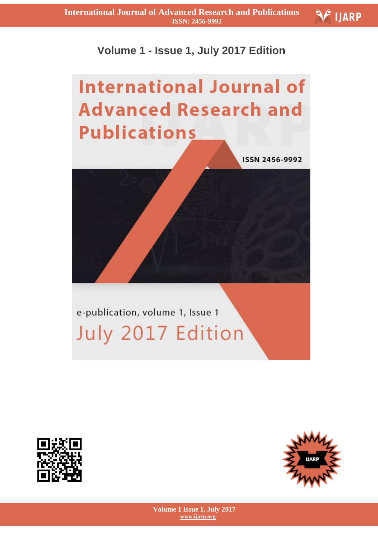## **Volume 1 - Issue 1, July 2017 Edition**

## **International Journal of Advanced Research and Publications**

ISSN 2456-9992

e-publication, volume 1, Issue 1 July 2017 Edition